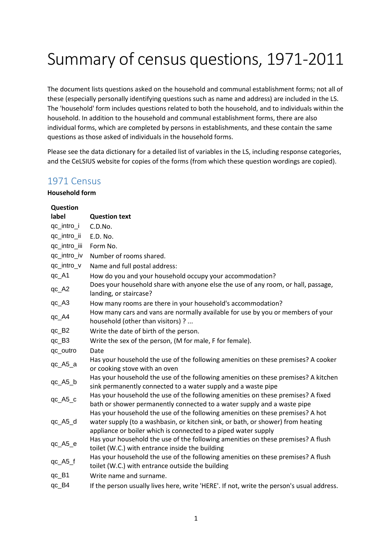# Summary of census questions, 1971-2011

The document lists questions asked on the household and communal establishment forms; not all of these (especially personally identifying questions such as name and address) are included in the LS. The 'household' form includes questions related to both the household, and to individuals within the household. In addition to the household and communal establishment forms, there are also individual forms, which are completed by persons in establishments, and these contain the same questions as those asked of individuals in the household forms.

Please see the data dictionary for a detailed list of variables in the LS, including response categories, and the CeLSIUS website for copies of the forms (from which these question wordings are copied).

## 1971 Census

| <b>Question</b> |                                                                                                                                                                                                                                     |
|-----------------|-------------------------------------------------------------------------------------------------------------------------------------------------------------------------------------------------------------------------------------|
| label           | <b>Question text</b>                                                                                                                                                                                                                |
| qc_intro_i      | C.D.No.                                                                                                                                                                                                                             |
| qc_intro_ii     | E.D. No.                                                                                                                                                                                                                            |
| qc_intro_iii    | Form No.                                                                                                                                                                                                                            |
| qc_intro_iv     | Number of rooms shared.                                                                                                                                                                                                             |
| qc_intro_v      | Name and full postal address:                                                                                                                                                                                                       |
| qc_A1           | How do you and your household occupy your accommodation?                                                                                                                                                                            |
| $qc_A2$         | Does your household share with anyone else the use of any room, or hall, passage,<br>landing, or staircase?                                                                                                                         |
| $qc_A3$         | How many rooms are there in your household's accommodation?                                                                                                                                                                         |
| $qc_A4$         | How many cars and vans are normally available for use by you or members of your<br>household (other than visitors) ?                                                                                                                |
| qc_B2           | Write the date of birth of the person.                                                                                                                                                                                              |
| $qc$ $B3$       | Write the sex of the person, (M for male, F for female).                                                                                                                                                                            |
| qc_outro        | Date                                                                                                                                                                                                                                |
| $qc_A5_a$       | Has your household the use of the following amenities on these premises? A cooker<br>or cooking stove with an oven                                                                                                                  |
| qc_A5_b         | Has your household the use of the following amenities on these premises? A kitchen<br>sink permanently connected to a water supply and a waste pipe                                                                                 |
| qc_A5_c         | Has your household the use of the following amenities on these premises? A fixed<br>bath or shower permanently connected to a water supply and a waste pipe                                                                         |
| qc_A5_d         | Has your household the use of the following amenities on these premises? A hot<br>water supply (to a washbasin, or kitchen sink, or bath, or shower) from heating<br>appliance or boiler which is connected to a piped water supply |
| qc_A5_e         | Has your household the use of the following amenities on these premises? A flush<br>toilet (W.C.) with entrance inside the building                                                                                                 |
| $qc_A5_f$       | Has your household the use of the following amenities on these premises? A flush<br>toilet (W.C.) with entrance outside the building                                                                                                |
| $qc$ $B1$       | Write name and surname.                                                                                                                                                                                                             |
| qc_B4           | If the person usually lives here, write 'HERE'. If not, write the person's usual address.                                                                                                                                           |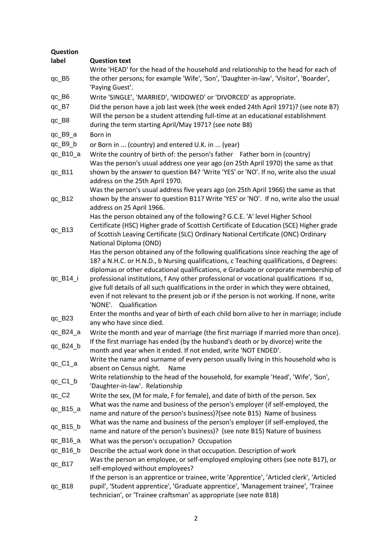| Question                             |                                                                                                                                                                                  |
|--------------------------------------|----------------------------------------------------------------------------------------------------------------------------------------------------------------------------------|
| label                                | <b>Question text</b>                                                                                                                                                             |
| qc_B5                                | Write 'HEAD' for the head of the household and relationship to the head for each of<br>the other persons; for example 'Wife', 'Son', 'Daughter-in-law', 'Visitor', 'Boarder',    |
|                                      | 'Paying Guest'.                                                                                                                                                                  |
| $qc$ <sub>-B6</sub>                  | Write 'SINGLE', 'MARRIED', 'WIDOWED' or 'DIVORCED' as appropriate.                                                                                                               |
| qc_B7                                | Did the person have a job last week (the week ended 24th April 1971)? (see note B7)                                                                                              |
| $qc$ $B8$                            | Will the person be a student attending full-time at an educational establishment<br>during the term starting April/May 1971? (see note B8)                                       |
| $qc_B9_a$                            | Born in                                                                                                                                                                          |
| $qc$ $B9$ $b$                        | or Born in  (country) and entered U.K. in  (year)                                                                                                                                |
| $qc_B10_a$                           | Write the country of birth of: the person's father Father born in (country)                                                                                                      |
|                                      | Was the person's usual address one year ago (on 25th April 1970) the same as that                                                                                                |
| $qc$ _ $B11$                         | shown by the answer to question B4? 'Write 'YES' or 'NO'. If no, write also the usual<br>address on the 25th April 1970.                                                         |
|                                      | Was the person's usual address five years ago (on 25th April 1966) the same as that                                                                                              |
| $qc_B12$                             | shown by the answer to question B11? Write 'YES' or 'NO'. If no, write also the usual                                                                                            |
|                                      | address on 25 April 1966.                                                                                                                                                        |
|                                      | Has the person obtained any of the following? G.C.E. 'A' level Higher School                                                                                                     |
| $qc$ _B13                            | Certificate (HSC) Higher grade of Scottish Certificate of Education (SCE) Higher grade                                                                                           |
|                                      | of Scottish Leaving Certificate (SLC) Ordinary National Certificate (ONC) Ordinary                                                                                               |
|                                      | National Diploma (OND)                                                                                                                                                           |
|                                      | Has the person obtained any of the following qualifications since reaching the age of<br>18? a N.H.C. or H.N.D., b Nursing qualifications, c Teaching qualifications, d Degrees: |
|                                      | diplomas or other educational qualifications, e Graduate or corporate membership of                                                                                              |
| qc_B14_i                             | professional institutions, f Any other professional or vocational qualifications If so,                                                                                          |
|                                      | give full details of all such qualifications in the order in which they were obtained,                                                                                           |
|                                      | even if not relevant to the present job or if the person is not working. If none, write                                                                                          |
|                                      | 'NONE'. Qualification                                                                                                                                                            |
| $qc$ $B23$                           | Enter the months and year of birth of each child born alive to her in marriage; include                                                                                          |
|                                      | any who have since died.                                                                                                                                                         |
| $qc$ $B24$ $a$                       | Write the month and year of marriage (the first marriage if married more than once).                                                                                             |
| qc_B24_b                             | If the first marriage has ended (by the husband's death or by divorce) write the                                                                                                 |
|                                      | month and year when it ended. If not ended, write 'NOT ENDED'.<br>Write the name and surname of every person usually living in this household who is                             |
| qc_C1_a                              | absent on Census night.<br>Name                                                                                                                                                  |
|                                      | Write relationship to the head of the household, for example 'Head', 'Wife', 'Son',                                                                                              |
| $qc_C1_b$                            | 'Daughter-in-law'. Relationship                                                                                                                                                  |
| $qc$ <sub>-C2</sub>                  | Write the sex, (M for male, F for female), and date of birth of the person. Sex                                                                                                  |
| $qc_B15_a$                           | What was the name and business of the person's employer (if self-employed, the                                                                                                   |
|                                      | name and nature of the person's business)?(see note B15) Name of business                                                                                                        |
| $qc$ $B15$ <sub><math>b</math></sub> | What was the name and business of the person's employer (if self-employed, the                                                                                                   |
|                                      | name and nature of the person's business)? (see note B15) Nature of business                                                                                                     |
| qc_B16_a                             | What was the person's occupation? Occupation                                                                                                                                     |
| $qc_B16_b$                           | Describe the actual work done in that occupation. Description of work                                                                                                            |
| qc_B17                               | Was the person an employee, or self-employed employing others (see note B17), or                                                                                                 |
|                                      | self-employed without employees?<br>If the person is an apprentice or trainee, write 'Apprentice', 'Articled clerk', 'Articled                                                   |
| $qc_B18$                             | pupil', 'Student apprentice', 'Graduate apprentice', 'Management trainee', 'Trainee                                                                                              |
|                                      | technician', or 'Trainee craftsman' as appropriate (see note B18)                                                                                                                |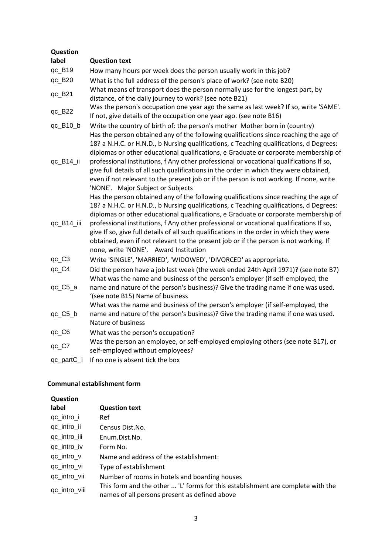| Question     |                                                                                                                                                                                                                                                                                                                                                                                                                                                                                                                                                                                                  |
|--------------|--------------------------------------------------------------------------------------------------------------------------------------------------------------------------------------------------------------------------------------------------------------------------------------------------------------------------------------------------------------------------------------------------------------------------------------------------------------------------------------------------------------------------------------------------------------------------------------------------|
| label        | <b>Question text</b>                                                                                                                                                                                                                                                                                                                                                                                                                                                                                                                                                                             |
| $qc_B19$     | How many hours per week does the person usually work in this job?                                                                                                                                                                                                                                                                                                                                                                                                                                                                                                                                |
| qc_B20       | What is the full address of the person's place of work? (see note B20)                                                                                                                                                                                                                                                                                                                                                                                                                                                                                                                           |
| qc_B21       | What means of transport does the person normally use for the longest part, by<br>distance, of the daily journey to work? (see note B21)                                                                                                                                                                                                                                                                                                                                                                                                                                                          |
| qc_B22       | Was the person's occupation one year ago the same as last week? If so, write 'SAME'.<br>If not, give details of the occupation one year ago. (see note B16)                                                                                                                                                                                                                                                                                                                                                                                                                                      |
| qc_B10_b     | Write the country of birth of: the person's mother Mother born in (country)                                                                                                                                                                                                                                                                                                                                                                                                                                                                                                                      |
| qc_B14_ii    | Has the person obtained any of the following qualifications since reaching the age of<br>18? a N.H.C. or H.N.D., b Nursing qualifications, c Teaching qualifications, d Degrees:<br>diplomas or other educational qualifications, e Graduate or corporate membership of<br>professional institutions, f Any other professional or vocational qualifications If so,<br>give full details of all such qualifications in the order in which they were obtained,<br>even if not relevant to the present job or if the person is not working. If none, write<br>'NONE'. Major Subject or Subjects     |
| qc_B14_iii   | Has the person obtained any of the following qualifications since reaching the age of<br>18? a N.H.C. or H.N.D., b Nursing qualifications, c Teaching qualifications, d Degrees:<br>diplomas or other educational qualifications, e Graduate or corporate membership of<br>professional institutions, f Any other professional or vocational qualifications If so,<br>give If so, give full details of all such qualifications in the order in which they were<br>obtained, even if not relevant to the present job or if the person is not working. If<br>none, write 'NONE'. Award Institution |
| $qc_C3$      | Write 'SINGLE', 'MARRIED', 'WIDOWED', 'DIVORCED' as appropriate.                                                                                                                                                                                                                                                                                                                                                                                                                                                                                                                                 |
| qc_C4        | Did the person have a job last week (the week ended 24th April 1971)? (see note B7)<br>What was the name and business of the person's employer (if self-employed, the                                                                                                                                                                                                                                                                                                                                                                                                                            |
| $qc_C5_a$    | name and nature of the person's business)? Give the trading name if one was used.<br>'(see note B15) Name of business<br>What was the name and business of the person's employer (if self-employed, the                                                                                                                                                                                                                                                                                                                                                                                          |
| qc_C5_b      | name and nature of the person's business)? Give the trading name if one was used.<br>Nature of business                                                                                                                                                                                                                                                                                                                                                                                                                                                                                          |
| qc_C6        | What was the person's occupation?                                                                                                                                                                                                                                                                                                                                                                                                                                                                                                                                                                |
| $qc_C$ $C$ 7 | Was the person an employee, or self-employed employing others (see note B17), or<br>self-employed without employees?                                                                                                                                                                                                                                                                                                                                                                                                                                                                             |
| qc_partC_i   | If no one is absent tick the box                                                                                                                                                                                                                                                                                                                                                                                                                                                                                                                                                                 |
|              |                                                                                                                                                                                                                                                                                                                                                                                                                                                                                                                                                                                                  |

| Question      |                                                                                                                                  |
|---------------|----------------------------------------------------------------------------------------------------------------------------------|
| label         | <b>Question text</b>                                                                                                             |
| qc_intro_i    | Ref                                                                                                                              |
| qc_intro_ii   | Census Dist. No.                                                                                                                 |
| qc_intro_iii  | Enum.Dist.No.                                                                                                                    |
| qc_intro_iv   | Form No.                                                                                                                         |
| qc_intro_v    | Name and address of the establishment:                                                                                           |
| qc_intro_vi   | Type of establishment                                                                                                            |
| qc_intro_vii  | Number of rooms in hotels and boarding houses                                                                                    |
| qc_intro_viii | This form and the other  'L' forms for this establishment are complete with the<br>names of all persons present as defined above |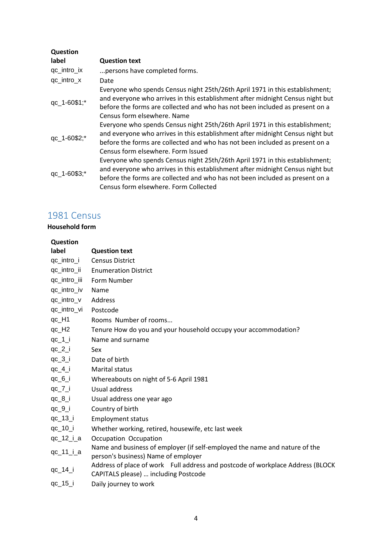| Question     |                                                                                                                                                                                                                                                                                         |
|--------------|-----------------------------------------------------------------------------------------------------------------------------------------------------------------------------------------------------------------------------------------------------------------------------------------|
| label        | <b>Question text</b>                                                                                                                                                                                                                                                                    |
| qc_intro_ix  | persons have completed forms.                                                                                                                                                                                                                                                           |
| qc_intro_x   | Date                                                                                                                                                                                                                                                                                    |
| qc_1-60\$1;* | Everyone who spends Census night 25th/26th April 1971 in this establishment;<br>and everyone who arrives in this establishment after midnight Census night but<br>before the forms are collected and who has not been included as present on a<br>Census form elsewhere. Name           |
| qc_1-60\$2;* | Everyone who spends Census night 25th/26th April 1971 in this establishment;<br>and everyone who arrives in this establishment after midnight Census night but<br>before the forms are collected and who has not been included as present on a<br>Census form elsewhere. Form Issued    |
| qc_1-60\$3;* | Everyone who spends Census night 25th/26th April 1971 in this establishment;<br>and everyone who arrives in this establishment after midnight Census night but<br>before the forms are collected and who has not been included as present on a<br>Census form elsewhere. Form Collected |

# 1981 Census

| Question     |                                                                                                                        |
|--------------|------------------------------------------------------------------------------------------------------------------------|
| label        | <b>Question text</b>                                                                                                   |
| qc_intro_i   | <b>Census District</b>                                                                                                 |
| qc_intro_ii  | <b>Enumeration District</b>                                                                                            |
| qc_intro_iii | Form Number                                                                                                            |
| qc_intro_iv  | Name                                                                                                                   |
| qc_intro_v   | Address                                                                                                                |
| qc_intro_vi  | Postcode                                                                                                               |
| qc_H1        | Rooms Number of rooms                                                                                                  |
| $qc_H2$      | Tenure How do you and your household occupy your accommodation?                                                        |
| $qc_1$       | Name and surname                                                                                                       |
| $qc_2_i$     | Sex                                                                                                                    |
| $qc_3_i$     | Date of birth                                                                                                          |
| $qc_4_i$     | <b>Marital status</b>                                                                                                  |
| $qc_6_i$     | Whereabouts on night of 5-6 April 1981                                                                                 |
| $qc_7_i$     | Usual address                                                                                                          |
| $qc_8_i$     | Usual address one year ago                                                                                             |
| $qc_9_i$     | Country of birth                                                                                                       |
| $qc_13_i$    | <b>Employment status</b>                                                                                               |
| qc_10_i      | Whether working, retired, housewife, etc last week                                                                     |
| $qc_12_i_a$  | Occupation Occupation                                                                                                  |
| $qc_11_i_a$  | Name and business of employer (if self-employed the name and nature of the<br>person's business) Name of employer      |
| qc_14_i      | Address of place of work Full address and postcode of workplace Address (BLOCK<br>CAPITALS please)  including Postcode |
| qc_15_i      | Daily journey to work                                                                                                  |
|              |                                                                                                                        |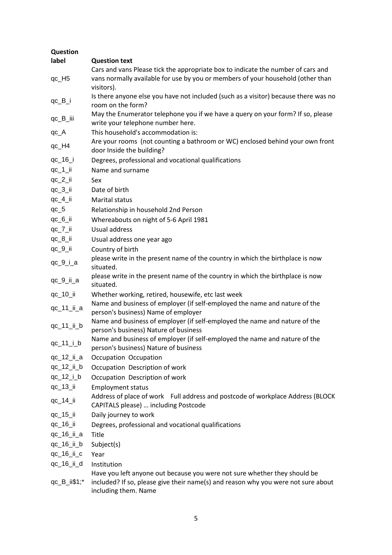| Question                |                                                                                                                                                                                        |
|-------------------------|----------------------------------------------------------------------------------------------------------------------------------------------------------------------------------------|
| label                   | <b>Question text</b>                                                                                                                                                                   |
|                         | Cars and vans Please tick the appropriate box to indicate the number of cars and                                                                                                       |
| $qc_H5$                 | vans normally available for use by you or members of your household (other than<br>visitors).                                                                                          |
| $qc$ <sub>-B</sub> $i$  | Is there anyone else you have not included (such as a visitor) because there was no<br>room on the form?                                                                               |
| qc_B_iii                | May the Enumerator telephone you if we have a query on your form? If so, please<br>write your telephone number here.                                                                   |
| $qc_A$                  | This household's accommodation is:                                                                                                                                                     |
| qc_H4                   | Are your rooms (not counting a bathroom or WC) enclosed behind your own front<br>door Inside the building?                                                                             |
| qc_16_i                 | Degrees, professional and vocational qualifications                                                                                                                                    |
| $qc_1$ ii               | Name and surname                                                                                                                                                                       |
| $qc_2_i$                | Sex                                                                                                                                                                                    |
| $qc_3_i$                | Date of birth                                                                                                                                                                          |
| $qc_4$ _ii              | <b>Marital status</b>                                                                                                                                                                  |
| $qc_5$                  | Relationship in household 2nd Person                                                                                                                                                   |
| $qc_6_i$                | Whereabouts on night of 5-6 April 1981                                                                                                                                                 |
| $qc_7_i$                | Usual address                                                                                                                                                                          |
| $qc_8_i$                | Usual address one year ago                                                                                                                                                             |
| $qc_9_i$                | Country of birth                                                                                                                                                                       |
| $qc_9_i_a$              | please write in the present name of the country in which the birthplace is now<br>situated.                                                                                            |
| qc_9_ii_a               | please write in the present name of the country in which the birthplace is now<br>situated.                                                                                            |
| $qc_10$ _ii             | Whether working, retired, housewife, etc last week                                                                                                                                     |
|                         | Name and business of employer (if self-employed the name and nature of the                                                                                                             |
| qc_11_ii_a              | person's business) Name of employer                                                                                                                                                    |
| qc_11_ii_b              | Name and business of employer (if self-employed the name and nature of the<br>person's business) Nature of business                                                                    |
| $qc_11_i_b$             | Name and business of employer (if self-employed the name and nature of the<br>person's business) Nature of business                                                                    |
| qc_12_ii_a              | Occupation Occupation                                                                                                                                                                  |
| $qc_12_i b$             | Occupation Description of work                                                                                                                                                         |
| $qc_12_i_b$             | Occupation Description of work                                                                                                                                                         |
| qc_13_ii                | <b>Employment status</b>                                                                                                                                                               |
| qc_14_ii                | Address of place of work Full address and postcode of workplace Address (BLOCK<br>CAPITALS please)  including Postcode                                                                 |
| qc_15_ii                | Daily journey to work                                                                                                                                                                  |
| qc_16_ii                | Degrees, professional and vocational qualifications                                                                                                                                    |
| qc_16_ii_a              | Title                                                                                                                                                                                  |
| qc_16_ii_b              | Subject(s)                                                                                                                                                                             |
| qc_16_ii_c              | Year                                                                                                                                                                                   |
| qc_16_ii_d              | Institution                                                                                                                                                                            |
| $qc$ _ $B$ _ $i$ i\$1;* | Have you left anyone out because you were not sure whether they should be<br>included? If so, please give their name(s) and reason why you were not sure about<br>including them. Name |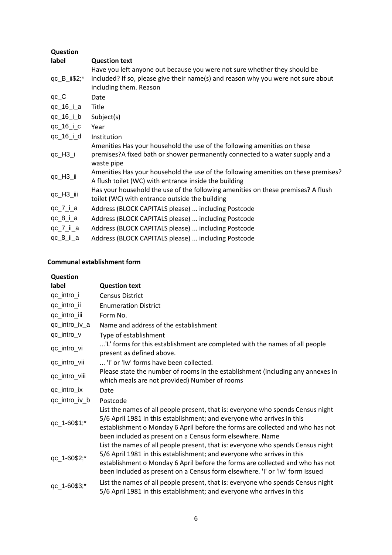| Question                       |                                                                                                                                                                                          |
|--------------------------------|------------------------------------------------------------------------------------------------------------------------------------------------------------------------------------------|
| label                          | <b>Question text</b>                                                                                                                                                                     |
| $qc$ <sub>-B</sub> $_i$ i\$2;* | Have you left anyone out because you were not sure whether they should be<br>included? If so, please give their name(s) and reason why you were not sure about<br>including them. Reason |
| $qc_C$                         | Date                                                                                                                                                                                     |
| qc_16_i_a                      | Title                                                                                                                                                                                    |
| qc_16_i_b                      | Subject(s)                                                                                                                                                                               |
| $qc_16_i_c$                    | Year                                                                                                                                                                                     |
| $qc_16_i_d$                    | Institution                                                                                                                                                                              |
| $qc_H3_i$                      | Amenities Has your household the use of the following amenities on these<br>premises?A fixed bath or shower permanently connected to a water supply and a<br>waste pipe                  |
| qc_H3_ii                       | Amenities Has your household the use of the following amenities on these premises?<br>A flush toilet (WC) with entrance inside the building                                              |
| qc_H3_iii                      | Has your household the use of the following amenities on these premises? A flush<br>toilet (WC) with entrance outside the building                                                       |
| $qc_7_i_a$                     | Address (BLOCK CAPITALS please)  including Postcode                                                                                                                                      |
| $qc_8_i_a$                     | Address (BLOCK CAPITALS please)  including Postcode                                                                                                                                      |
| $qc_7_ii_2$                    | Address (BLOCK CAPITALS please)  including Postcode                                                                                                                                      |
| $qc_8_i_a$                     | Address (BLOCK CAPITALS please)  including Postcode                                                                                                                                      |
|                                |                                                                                                                                                                                          |

| Question      |                                                                                                                                                                                                                                                                                                                            |
|---------------|----------------------------------------------------------------------------------------------------------------------------------------------------------------------------------------------------------------------------------------------------------------------------------------------------------------------------|
| label         | <b>Question text</b>                                                                                                                                                                                                                                                                                                       |
| qc_intro_i    | <b>Census District</b>                                                                                                                                                                                                                                                                                                     |
| qc_intro_ii   | <b>Enumeration District</b>                                                                                                                                                                                                                                                                                                |
| qc_intro_iii  | Form No.                                                                                                                                                                                                                                                                                                                   |
| qc_intro_iv_a | Name and address of the establishment                                                                                                                                                                                                                                                                                      |
| qc_intro_v    | Type of establishment                                                                                                                                                                                                                                                                                                      |
| qc_intro_vi   | 'L' forms for this establishment are completed with the names of all people<br>present as defined above.                                                                                                                                                                                                                   |
| qc_intro_vii  | 'I' or 'Iw' forms have been collected.                                                                                                                                                                                                                                                                                     |
| qc_intro_viii | Please state the number of rooms in the establishment (including any annexes in<br>which meals are not provided) Number of rooms                                                                                                                                                                                           |
| qc_intro_ix   | Date                                                                                                                                                                                                                                                                                                                       |
| qc_intro_iv_b | Postcode                                                                                                                                                                                                                                                                                                                   |
| qc_1-60\$1;*  | List the names of all people present, that is: everyone who spends Census night<br>5/6 April 1981 in this establishment; and everyone who arrives in this<br>establishment o Monday 6 April before the forms are collected and who has not<br>been included as present on a Census form elsewhere. Name                    |
| qc_1-60\$2;*  | List the names of all people present, that is: everyone who spends Census night<br>5/6 April 1981 in this establishment; and everyone who arrives in this<br>establishment o Monday 6 April before the forms are collected and who has not<br>been included as present on a Census form elsewhere. 'I' or 'Iw' form Issued |
| qc_1-60\$3;*  | List the names of all people present, that is: everyone who spends Census night<br>5/6 April 1981 in this establishment; and everyone who arrives in this                                                                                                                                                                  |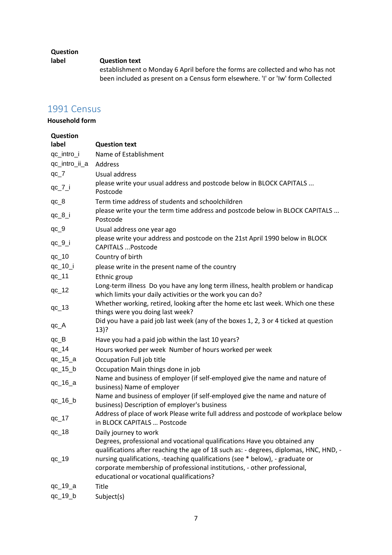## **Question**

#### **label Question text**

establishment o Monday 6 April before the forms are collected and who has not been included as present on a Census form elsewhere. 'I' or 'Iw' form Collected

# 1991 Census

| Question      |                                                                                                                                                                                                                                                                                                                                                                              |
|---------------|------------------------------------------------------------------------------------------------------------------------------------------------------------------------------------------------------------------------------------------------------------------------------------------------------------------------------------------------------------------------------|
| label         | <b>Question text</b>                                                                                                                                                                                                                                                                                                                                                         |
| qc_intro_i    | Name of Establishment                                                                                                                                                                                                                                                                                                                                                        |
| qc_intro_ii_a | Address                                                                                                                                                                                                                                                                                                                                                                      |
| $qc_7$        | Usual address                                                                                                                                                                                                                                                                                                                                                                |
| $qc_7_i$      | please write your usual address and postcode below in BLOCK CAPITALS<br>Postcode                                                                                                                                                                                                                                                                                             |
| $qc_8$        | Term time address of students and schoolchildren                                                                                                                                                                                                                                                                                                                             |
| $qc_8_i$      | please write your the term time address and postcode below in BLOCK CAPITALS<br>Postcode                                                                                                                                                                                                                                                                                     |
| $qc_9$        | Usual address one year ago                                                                                                                                                                                                                                                                                                                                                   |
| $qc_9_i$      | please write your address and postcode on the 21st April 1990 below in BLOCK<br><b>CAPITALS  Postcode</b>                                                                                                                                                                                                                                                                    |
| $qc_10$       | Country of birth                                                                                                                                                                                                                                                                                                                                                             |
| qc_10_i       | please write in the present name of the country                                                                                                                                                                                                                                                                                                                              |
| $qc_11$       | Ethnic group                                                                                                                                                                                                                                                                                                                                                                 |
| $qc_12$       | Long-term illness Do you have any long term illness, health problem or handicap<br>which limits your daily activities or the work you can do?                                                                                                                                                                                                                                |
| $qc_13$       | Whether working, retired, looking after the home etc last week. Which one these<br>things were you doing last week?                                                                                                                                                                                                                                                          |
| $qc_A$        | Did you have a paid job last week (any of the boxes 1, 2, 3 or 4 ticked at question<br>$13)$ ?                                                                                                                                                                                                                                                                               |
| $qc_B$        | Have you had a paid job within the last 10 years?                                                                                                                                                                                                                                                                                                                            |
| $qc_14$       | Hours worked per week Number of hours worked per week                                                                                                                                                                                                                                                                                                                        |
| $qc_15_a$     | Occupation Full job title                                                                                                                                                                                                                                                                                                                                                    |
| $qc_15_b$     | Occupation Main things done in job                                                                                                                                                                                                                                                                                                                                           |
| $qc_16_a$     | Name and business of employer (if self-employed give the name and nature of<br>business) Name of employer                                                                                                                                                                                                                                                                    |
| $qc_16_b$     | Name and business of employer (if self-employed give the name and nature of<br>business) Description of employer's business                                                                                                                                                                                                                                                  |
| $qc_17$       | Address of place of work Please write full address and postcode of workplace below<br>in BLOCK CAPITALS  Postcode                                                                                                                                                                                                                                                            |
| $qc_18$       | Daily journey to work                                                                                                                                                                                                                                                                                                                                                        |
| $qc_19$       | Degrees, professional and vocational qualifications Have you obtained any<br>qualifications after reaching the age of 18 such as: - degrees, diplomas, HNC, HND, -<br>nursing qualifications, -teaching qualifications (see * below), - graduate or<br>corporate membership of professional institutions, - other professional,<br>educational or vocational qualifications? |
| $qc_19_a$     | Title                                                                                                                                                                                                                                                                                                                                                                        |
| $qc_19_b$     | Subject(s)                                                                                                                                                                                                                                                                                                                                                                   |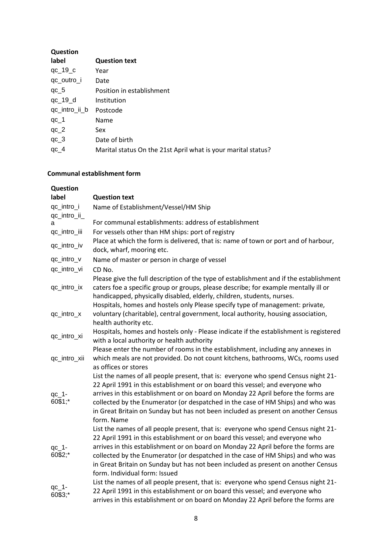| Question      |                                                               |
|---------------|---------------------------------------------------------------|
| label         | <b>Question text</b>                                          |
| $qc_19_c$     | Year                                                          |
| qc_outro_i    | Date                                                          |
| $qc_5$        | Position in establishment                                     |
| $qc_19_d$     | Institution                                                   |
| qc_intro_ii_b | Postcode                                                      |
| $qc_1$        | Name                                                          |
| $qc_2$        | Sex                                                           |
| $qc_3$        | Date of birth                                                 |
| $qc_4$        | Marital status On the 21st April what is your marital status? |

| Question            |                                                                                                                                                                                                                                                                                                                                                                                                                                                                   |
|---------------------|-------------------------------------------------------------------------------------------------------------------------------------------------------------------------------------------------------------------------------------------------------------------------------------------------------------------------------------------------------------------------------------------------------------------------------------------------------------------|
| label               | <b>Question text</b>                                                                                                                                                                                                                                                                                                                                                                                                                                              |
| qc_intro_i          | Name of Establishment/Vessel/HM Ship                                                                                                                                                                                                                                                                                                                                                                                                                              |
| qc_intro_ii_        |                                                                                                                                                                                                                                                                                                                                                                                                                                                                   |
| a                   | For communal establishments: address of establishment                                                                                                                                                                                                                                                                                                                                                                                                             |
| qc_intro_iii        | For vessels other than HM ships: port of registry                                                                                                                                                                                                                                                                                                                                                                                                                 |
| qc_intro_iv         | Place at which the form is delivered, that is: name of town or port and of harbour,<br>dock, wharf, mooring etc.                                                                                                                                                                                                                                                                                                                                                  |
| qc_intro_v          | Name of master or person in charge of vessel                                                                                                                                                                                                                                                                                                                                                                                                                      |
| qc_intro_vi         | CD No.                                                                                                                                                                                                                                                                                                                                                                                                                                                            |
| qc_intro_ix         | Please give the full description of the type of establishment and if the establishment<br>caters foe a specific group or groups, please describe; for example mentally ill or<br>handicapped, physically disabled, elderly, children, students, nurses.                                                                                                                                                                                                           |
| qc_intro_x          | Hospitals, homes and hostels only Please specify type of management: private,<br>voluntary (charitable), central government, local authority, housing association,<br>health authority etc.                                                                                                                                                                                                                                                                       |
| qc_intro_xi         | Hospitals, homes and hostels only - Please indicate if the establishment is registered<br>with a local authority or health authority                                                                                                                                                                                                                                                                                                                              |
| qc_intro_xii        | Please enter the number of rooms in the establishment, including any annexes in<br>which meals are not provided. Do not count kitchens, bathrooms, WCs, rooms used<br>as offices or stores                                                                                                                                                                                                                                                                        |
| $qc_1$ -<br>60\$1;* | List the names of all people present, that is: everyone who spend Census night 21-<br>22 April 1991 in this establishment or on board this vessel; and everyone who<br>arrives in this establishment or on board on Monday 22 April before the forms are<br>collected by the Enumerator (or despatched in the case of HM Ships) and who was<br>in Great Britain on Sunday but has not been included as present on another Census<br>form. Name                    |
| $qc_1$ -<br>60\$2;* | List the names of all people present, that is: everyone who spend Census night 21-<br>22 April 1991 in this establishment or on board this vessel; and everyone who<br>arrives in this establishment or on board on Monday 22 April before the forms are<br>collected by the Enumerator (or despatched in the case of HM Ships) and who was<br>in Great Britain on Sunday but has not been included as present on another Census<br>form. Individual form: Issued |
| $qc_1$ -<br>60\$3;* | List the names of all people present, that is: everyone who spend Census night 21-<br>22 April 1991 in this establishment or on board this vessel; and everyone who<br>arrives in this establishment or on board on Monday 22 April before the forms are                                                                                                                                                                                                          |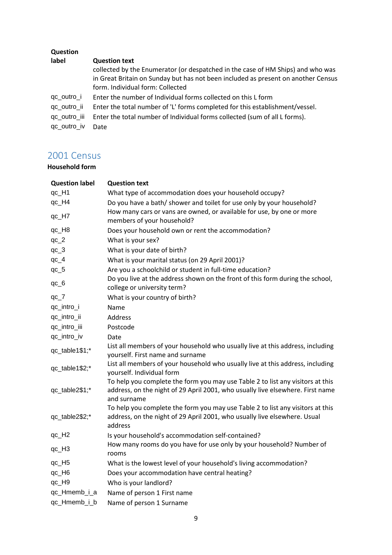| <b>Question</b> |                                                                                   |
|-----------------|-----------------------------------------------------------------------------------|
| label           | <b>Question text</b>                                                              |
|                 | collected by the Enumerator (or despatched in the case of HM Ships) and who was   |
|                 | in Great Britain on Sunday but has not been included as present on another Census |
|                 | form. Individual form: Collected                                                  |
| qc_outro_i      | Enter the number of Individual forms collected on this L form                     |
| qc_outro_ii     | Enter the total number of 'L' forms completed for this establishment/vessel.      |
| qc_outro_iii    | Enter the total number of Individual forms collected (sum of all L forms).        |
| qc_outro_iv     | Date                                                                              |

# 2001 Census

| <b>Question label</b> | <b>Question text</b>                                                                                                                                                            |
|-----------------------|---------------------------------------------------------------------------------------------------------------------------------------------------------------------------------|
| qc_H1                 | What type of accommodation does your household occupy?                                                                                                                          |
| qc_H4                 | Do you have a bath/ shower and toilet for use only by your household?                                                                                                           |
| qc_H7                 | How many cars or vans are owned, or available for use, by one or more<br>members of your household?                                                                             |
| qc_H8                 | Does your household own or rent the accommodation?                                                                                                                              |
| $qc_2$                | What is your sex?                                                                                                                                                               |
| $qc_3$                | What is your date of birth?                                                                                                                                                     |
| $qc_4$                | What is your marital status (on 29 April 2001)?                                                                                                                                 |
| $qc_5$                | Are you a schoolchild or student in full-time education?                                                                                                                        |
| $qc_6$                | Do you live at the address shown on the front of this form during the school,<br>college or university term?                                                                    |
| $qc_7$                | What is your country of birth?                                                                                                                                                  |
| qc_intro_i            | Name                                                                                                                                                                            |
| qc_intro_ii           | <b>Address</b>                                                                                                                                                                  |
| qc_intro_iii          | Postcode                                                                                                                                                                        |
| qc_intro_iv           | Date                                                                                                                                                                            |
| qc_table1\$1;*        | List all members of your household who usually live at this address, including<br>yourself. First name and surname                                                              |
| qc_table1\$2;*        | List all members of your household who usually live at this address, including<br>yourself. Individual form                                                                     |
| qc_table2\$1;*        | To help you complete the form you may use Table 2 to list any visitors at this<br>address, on the night of 29 April 2001, who usually live elsewhere. First name<br>and surname |
| qc_table2\$2;*        | To help you complete the form you may use Table 2 to list any visitors at this<br>address, on the night of 29 April 2001, who usually live elsewhere. Usual<br>address          |
| $qc_H2$               | Is your household's accommodation self-contained?                                                                                                                               |
| qc_H <sub>3</sub>     | How many rooms do you have for use only by your household? Number of<br>rooms                                                                                                   |
| qc_H <sub>5</sub>     | What is the lowest level of your household's living accommodation?                                                                                                              |
| qc_H6                 | Does your accommodation have central heating?                                                                                                                                   |
| qc_H9                 | Who is your landlord?                                                                                                                                                           |
| qc_Hmemb_i_a          | Name of person 1 First name                                                                                                                                                     |
| qc_Hmemb_i_b          | Name of person 1 Surname                                                                                                                                                        |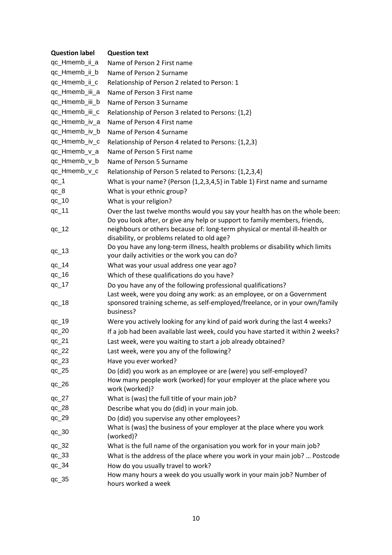| <b>Question label</b> | <b>Question text</b>                                                                                                                                                                                     |
|-----------------------|----------------------------------------------------------------------------------------------------------------------------------------------------------------------------------------------------------|
| qc_Hmemb_ii_a         | Name of Person 2 First name                                                                                                                                                                              |
| qc_Hmemb_ii_b         | Name of Person 2 Surname                                                                                                                                                                                 |
| qc_Hmemb_ii_c         | Relationship of Person 2 related to Person: 1                                                                                                                                                            |
| qc_Hmemb_iii_a        | Name of Person 3 First name                                                                                                                                                                              |
| qc_Hmemb_iii_b        | Name of Person 3 Surname                                                                                                                                                                                 |
| qc_Hmemb_iii_c        | Relationship of Person 3 related to Persons: {1,2}                                                                                                                                                       |
| qc_Hmemb_iv_a         | Name of Person 4 First name                                                                                                                                                                              |
| qc_Hmemb_iv_b         | Name of Person 4 Surname                                                                                                                                                                                 |
| qc_Hmemb_iv_c         | Relationship of Person 4 related to Persons: {1,2,3}                                                                                                                                                     |
| qc_Hmemb_v_a          | Name of Person 5 First name                                                                                                                                                                              |
| qc_Hmemb_v_b          | Name of Person 5 Surname                                                                                                                                                                                 |
| qc_Hmemb_v_c          | Relationship of Person 5 related to Persons: {1,2,3,4}                                                                                                                                                   |
| $qc_1$                | What is your name? (Person {1,2,3,4,5} in Table 1) First name and surname                                                                                                                                |
| $qc_8$                | What is your ethnic group?                                                                                                                                                                               |
| $qc_10$               | What is your religion?                                                                                                                                                                                   |
| $qc_11$               | Over the last twelve months would you say your health has on the whole been:                                                                                                                             |
| $qc_12$               | Do you look after, or give any help or support to family members, friends,<br>neighbours or others because of: long-term physical or mental ill-health or<br>disability, or problems related to old age? |
| $qc_13$               | Do you have any long-term illness, health problems or disability which limits<br>your daily activities or the work you can do?                                                                           |
| $qc_14$               | What was your usual address one year ago?                                                                                                                                                                |
| $qc_16$               | Which of these qualifications do you have?                                                                                                                                                               |
| $qc_17$               | Do you have any of the following professional qualifications?                                                                                                                                            |
| $qc_18$               | Last week, were you doing any work: as an employee, or on a Government<br>sponsored training scheme, as self-employed/freelance, or in your own/family<br>business?                                      |
| $qc_19$               | Were you actively looking for any kind of paid work during the last 4 weeks?                                                                                                                             |
| $qc_2$                | If a job had been available last week, could you have started it within 2 weeks?                                                                                                                         |
| $qc_2$                | Last week, were you waiting to start a job already obtained?                                                                                                                                             |
| $qc_22$               | Last week, were you any of the following?                                                                                                                                                                |
| $qc_23$               | Have you ever worked?                                                                                                                                                                                    |
| $qc_225$              | Do (did) you work as an employee or are (were) you self-employed?                                                                                                                                        |
| $qc_2$ 26             | How many people work (worked) for your employer at the place where you<br>work (worked)?                                                                                                                 |
| $qc_27$               | What is (was) the full title of your main job?                                                                                                                                                           |
| $qc_28$               | Describe what you do (did) in your main job.                                                                                                                                                             |
| $qc_2$                | Do (did) you supervise any other employees?                                                                                                                                                              |
| $qc_30$               | What is (was) the business of your employer at the place where you work<br>(worked)?                                                                                                                     |
| $qc_32$               | What is the full name of the organisation you work for in your main job?                                                                                                                                 |
| $qc_33$               | What is the address of the place where you work in your main job?  Postcode                                                                                                                              |
| $qc_34$               | How do you usually travel to work?                                                                                                                                                                       |
| $qc_35$               | How many hours a week do you usually work in your main job? Number of<br>hours worked a week                                                                                                             |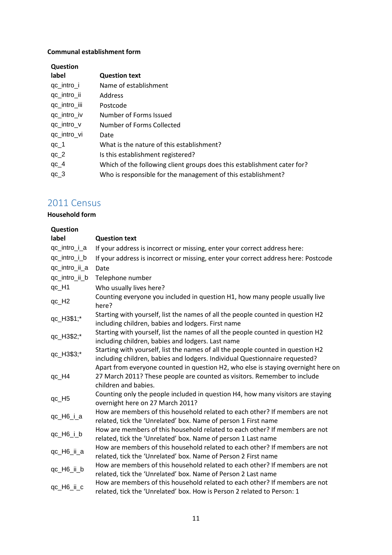| Question     |                                                                         |
|--------------|-------------------------------------------------------------------------|
| label        | <b>Question text</b>                                                    |
| qc_intro_i   | Name of establishment                                                   |
| qc_intro_ii  | Address                                                                 |
| qc_intro_iii | Postcode                                                                |
| qc_intro_iv  | Number of Forms Issued                                                  |
| qc_intro_v   | Number of Forms Collected                                               |
| qc_intro_vi  | Date                                                                    |
| $qc_1$       | What is the nature of this establishment?                               |
| $qc_2$       | Is this establishment registered?                                       |
| $qc_4$       | Which of the following client groups does this establishment cater for? |
| $qc_3$       | Who is responsible for the management of this establishment?            |

# 2011 Census

| Question          |                                                                                                                                                                                       |
|-------------------|---------------------------------------------------------------------------------------------------------------------------------------------------------------------------------------|
| label             | <b>Question text</b>                                                                                                                                                                  |
| qc_intro_i_a      | If your address is incorrect or missing, enter your correct address here:                                                                                                             |
| qc_intro_i_b      | If your address is incorrect or missing, enter your correct address here: Postcode                                                                                                    |
| qc_intro_ii_a     | Date                                                                                                                                                                                  |
| qc_intro_ii_b     | Telephone number                                                                                                                                                                      |
| qc_H1             | Who usually lives here?                                                                                                                                                               |
| qc_H <sub>2</sub> | Counting everyone you included in question H1, how many people usually live<br>here?                                                                                                  |
| qc_H3\$1;*        | Starting with yourself, list the names of all the people counted in question H2<br>including children, babies and lodgers. First name                                                 |
| qc_H3\$2;*        | Starting with yourself, list the names of all the people counted in question H2<br>including children, babies and lodgers. Last name                                                  |
| qc_H3\$3;*        | Starting with yourself, list the names of all the people counted in question H2<br>including children, babies and lodgers. Individual Questionnaire requested?                        |
| qc_H4             | Apart from everyone counted in question H2, who else is staying overnight here on<br>27 March 2011? These people are counted as visitors. Remember to include<br>children and babies. |
| qc_H5             | Counting only the people included in question H4, how many visitors are staying<br>overnight here on 27 March 2011?                                                                   |
| $qc_H6_i_a$       | How are members of this household related to each other? If members are not<br>related, tick the 'Unrelated' box. Name of person 1 First name                                         |
| $qc_H6_i_b$       | How are members of this household related to each other? If members are not<br>related, tick the 'Unrelated' box. Name of person 1 Last name                                          |
| qc_H6_ii_a        | How are members of this household related to each other? If members are not<br>related, tick the 'Unrelated' box. Name of Person 2 First name                                         |
| qc_H6_ii_b        | How are members of this household related to each other? If members are not<br>related, tick the 'Unrelated' box. Name of Person 2 Last name                                          |
| qc_H6_ii_c        | How are members of this household related to each other? If members are not<br>related, tick the 'Unrelated' box. How is Person 2 related to Person: 1                                |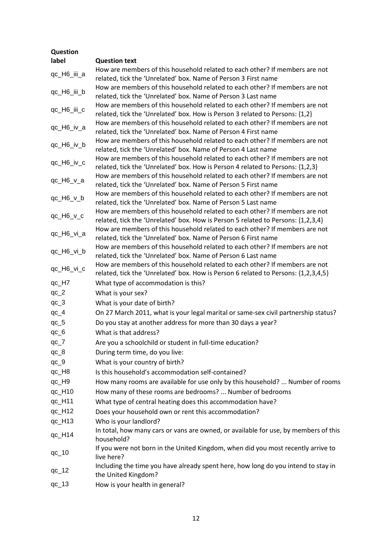| Question    |                                                                                                                                                                   |
|-------------|-------------------------------------------------------------------------------------------------------------------------------------------------------------------|
| label       | <b>Question text</b>                                                                                                                                              |
| qc_H6_iii_a | How are members of this household related to each other? If members are not<br>related, tick the 'Unrelated' box. Name of Person 3 First name                     |
| qc_H6_iii_b | How are members of this household related to each other? If members are not<br>related, tick the 'Unrelated' box. Name of Person 3 Last name                      |
| qc_H6_iii_c | How are members of this household related to each other? If members are not<br>related, tick the 'Unrelated' box. How is Person 3 related to Persons: {1,2}       |
| qc_H6_iv_a  | How are members of this household related to each other? If members are not<br>related, tick the 'Unrelated' box. Name of Person 4 First name                     |
| qc_H6_iv_b  | How are members of this household related to each other? If members are not<br>related, tick the 'Unrelated' box. Name of Person 4 Last name                      |
| qc_H6_iv_c  | How are members of this household related to each other? If members are not<br>related, tick the 'Unrelated' box. How is Person 4 related to Persons: {1,2,3}     |
| qc_H6_v_a   | How are members of this household related to each other? If members are not<br>related, tick the 'Unrelated' box. Name of Person 5 First name                     |
| qc_H6_v_b   | How are members of this household related to each other? If members are not<br>related, tick the 'Unrelated' box. Name of Person 5 Last name                      |
| qc_H6_v_c   | How are members of this household related to each other? If members are not<br>related, tick the 'Unrelated' box. How is Person 5 related to Persons: {1,2,3,4}   |
| qc_H6_vi_a  | How are members of this household related to each other? If members are not<br>related, tick the 'Unrelated' box. Name of Person 6 First name                     |
| qc_H6_vi_b  | How are members of this household related to each other? If members are not<br>related, tick the 'Unrelated' box. Name of Person 6 Last name                      |
| qc_H6_vi_c  | How are members of this household related to each other? If members are not<br>related, tick the 'Unrelated' box. How is Person 6 related to Persons: {1,2,3,4,5} |
| qc_H7       | What type of accommodation is this?                                                                                                                               |
| $qc_2$      | What is your sex?                                                                                                                                                 |
| $qc_3$      | What is your date of birth?                                                                                                                                       |
| $qc_4$      | On 27 March 2011, what is your legal marital or same-sex civil partnership status?                                                                                |
| $qc_5$      | Do you stay at another address for more than 30 days a year?                                                                                                      |
| $qc_6$      | What is that address?                                                                                                                                             |
| $qc_7$      | Are you a schoolchild or student in full-time education?                                                                                                          |
| $qc_8$      | During term time, do you live:                                                                                                                                    |
| $qc_9$      | What is your country of birth?                                                                                                                                    |
| qc_H8       | Is this household's accommodation self-contained?                                                                                                                 |
| qc_H9       | How many rooms are available for use only by this household?  Number of rooms                                                                                     |
| $qc_H$ 10   | How many of these rooms are bedrooms?  Number of bedrooms                                                                                                         |
| qc_H11      | What type of central heating does this accommodation have?                                                                                                        |
| qc_H12      | Does your household own or rent this accommodation?                                                                                                               |
| qc_H13      | Who is your landlord?                                                                                                                                             |
| $qc_H14$    | In total, how many cars or vans are owned, or available for use, by members of this<br>household?                                                                 |
| $qc_10$     | If you were not born in the United Kingdom, when did you most recently arrive to<br>live here?                                                                    |
| $qc_12$     | Including the time you have already spent here, how long do you intend to stay in<br>the United Kingdom?                                                          |
| $qc_13$     | How is your health in general?                                                                                                                                    |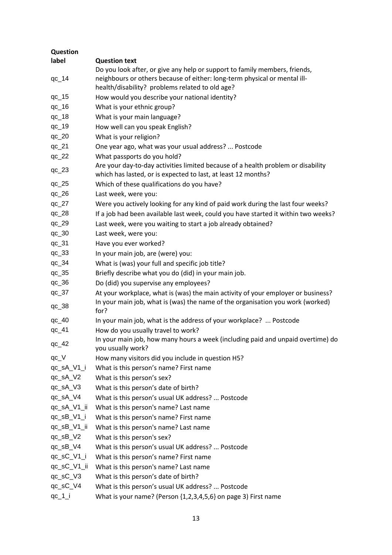| Question      |                                                                                                                                                                                                            |
|---------------|------------------------------------------------------------------------------------------------------------------------------------------------------------------------------------------------------------|
| label         | <b>Question text</b>                                                                                                                                                                                       |
| $qc_14$       | Do you look after, or give any help or support to family members, friends,<br>neighbours or others because of either: long-term physical or mental ill-<br>health/disability? problems related to old age? |
| $qc_15$       | How would you describe your national identity?                                                                                                                                                             |
| $qc_16$       | What is your ethnic group?                                                                                                                                                                                 |
| $qc_18$       | What is your main language?                                                                                                                                                                                |
| $qc_19$       | How well can you speak English?                                                                                                                                                                            |
| $qc_2$        | What is your religion?                                                                                                                                                                                     |
| $qc_2$        | One year ago, what was your usual address?  Postcode                                                                                                                                                       |
| $qc_22$       | What passports do you hold?                                                                                                                                                                                |
| $qc_23$       | Are your day-to-day activities limited because of a health problem or disability<br>which has lasted, or is expected to last, at least 12 months?                                                          |
| $qc_225$      | Which of these qualifications do you have?                                                                                                                                                                 |
| $qc_2$ 26     | Last week, were you:                                                                                                                                                                                       |
| $qc_2$        | Were you actively looking for any kind of paid work during the last four weeks?                                                                                                                            |
| $qc_28$       | If a job had been available last week, could you have started it within two weeks?                                                                                                                         |
| $qc_2$        | Last week, were you waiting to start a job already obtained?                                                                                                                                               |
| $qc_30$       | Last week, were you:                                                                                                                                                                                       |
| $qc_31$       | Have you ever worked?                                                                                                                                                                                      |
| $qc_33$       | In your main job, are (were) you:                                                                                                                                                                          |
| $qc_34$       | What is (was) your full and specific job title?                                                                                                                                                            |
| $qc_35$       | Briefly describe what you do (did) in your main job.                                                                                                                                                       |
| $qc_36$       | Do (did) you supervise any employees?                                                                                                                                                                      |
| $qc_37$       | At your workplace, what is (was) the main activity of your employer or business?<br>In your main job, what is (was) the name of the organisation you work (worked)                                         |
| $qc_38$       | for?                                                                                                                                                                                                       |
| $qc_40$       | In your main job, what is the address of your workplace?  Postcode                                                                                                                                         |
| $qc_41$       | How do you usually travel to work?                                                                                                                                                                         |
| $qc_42$       | In your main job, how many hours a week (including paid and unpaid overtime) do<br>you usually work?                                                                                                       |
| $qc_V$        | How many visitors did you include in question H5?                                                                                                                                                          |
| qc_sA_V1_i    | What is this person's name? First name                                                                                                                                                                     |
| qc_sA_V2      | What is this person's sex?                                                                                                                                                                                 |
| qc_sA_V3      | What is this person's date of birth?                                                                                                                                                                       |
| qc_sA_V4      | What is this person's usual UK address?  Postcode                                                                                                                                                          |
| qc_sA_V1_ii   | What is this person's name? Last name                                                                                                                                                                      |
| $qc$ _sB_V1_i | What is this person's name? First name                                                                                                                                                                     |
| qc_sB_V1_ii   | What is this person's name? Last name                                                                                                                                                                      |
| $qc$ _sB_V2   | What is this person's sex?                                                                                                                                                                                 |
| qc_sB_V4      | What is this person's usual UK address?  Postcode                                                                                                                                                          |
| qc_sC_V1_i    | What is this person's name? First name                                                                                                                                                                     |
| qc_sC_V1_ii   | What is this person's name? Last name                                                                                                                                                                      |
| qc_sC_V3      | What is this person's date of birth?                                                                                                                                                                       |
| qc_sC_V4      | What is this person's usual UK address?  Postcode                                                                                                                                                          |
| $qc_1$        | What is your name? (Person {1,2,3,4,5,6} on page 3) First name                                                                                                                                             |